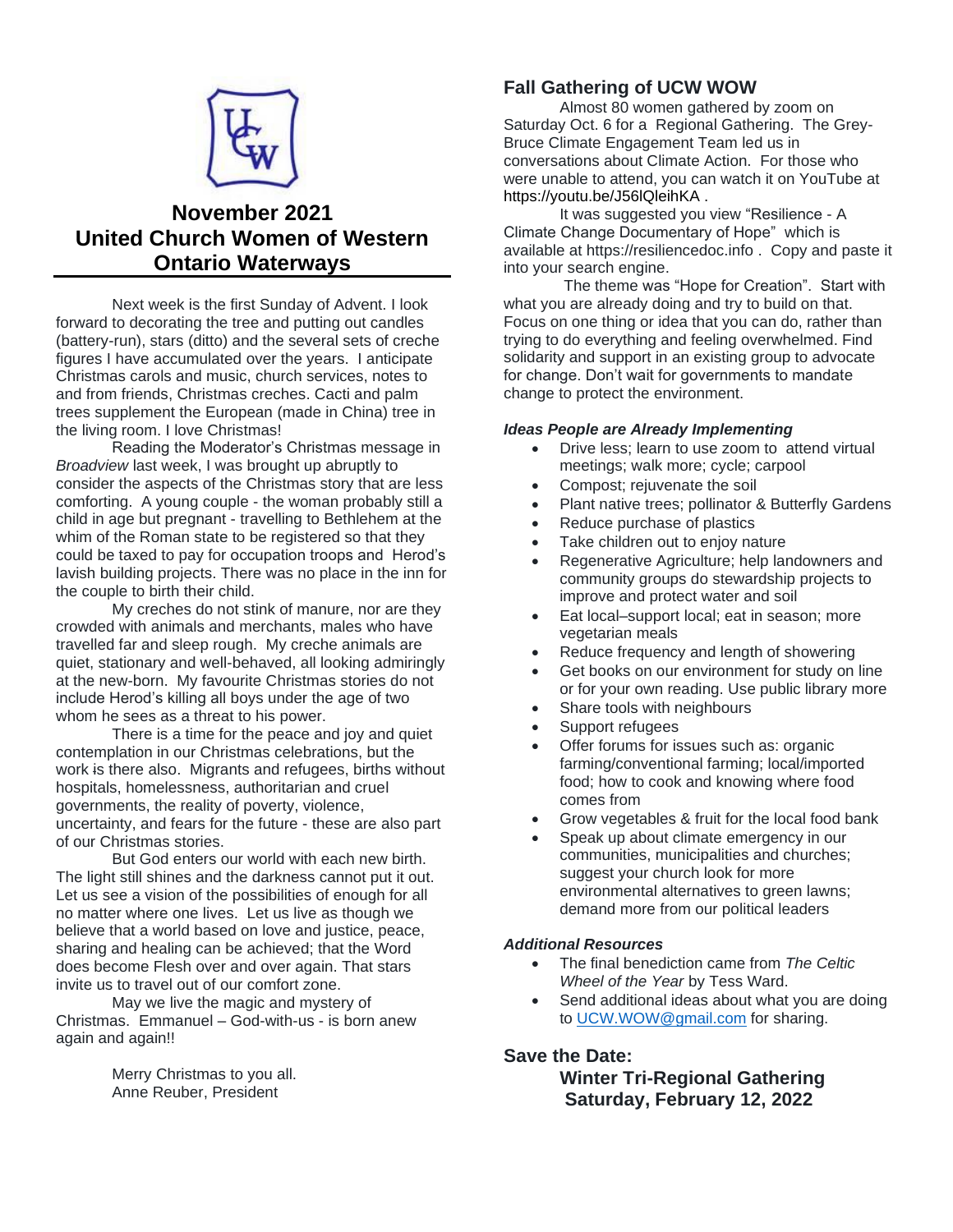

# **November 2021 United Church Women of Western Ontario Waterways**

Next week is the first Sunday of Advent. I look forward to decorating the tree and putting out candles (battery-run), stars (ditto) and the several sets of creche figures I have accumulated over the years. I anticipate Christmas carols and music, church services, notes to and from friends, Christmas creches. Cacti and palm trees supplement the European (made in China) tree in the living room. I love Christmas!

Reading the Moderator's Christmas message in *Broadview* last week, I was brought up abruptly to consider the aspects of the Christmas story that are less comforting. A young couple - the woman probably still a child in age but pregnant - travelling to Bethlehem at the whim of the Roman state to be registered so that they could be taxed to pay for occupation troops and Herod's lavish building projects. There was no place in the inn for the couple to birth their child.

My creches do not stink of manure, nor are they crowded with animals and merchants, males who have travelled far and sleep rough. My creche animals are quiet, stationary and well-behaved, all looking admiringly at the new-born. My favourite Christmas stories do not include Herod's killing all boys under the age of two whom he sees as a threat to his power.

There is a time for the peace and joy and quiet contemplation in our Christmas celebrations, but the work is there also. Migrants and refugees, births without hospitals, homelessness, authoritarian and cruel governments, the reality of poverty, violence, uncertainty, and fears for the future - these are also part of our Christmas stories.

But God enters our world with each new birth. The light still shines and the darkness cannot put it out. Let us see a vision of the possibilities of enough for all no matter where one lives. Let us live as though we believe that a world based on love and justice, peace, sharing and healing can be achieved; that the Word does become Flesh over and over again. That stars invite us to travel out of our comfort zone.

May we live the magic and mystery of Christmas. Emmanuel – God-with-us - is born anew again and again!!

> Merry Christmas to you all. Anne Reuber, President

# **Fall Gathering of UCW WOW**

Almost 80 women gathered by zoom on Saturday Oct. 6 for a Regional Gathering. The Grey-Bruce Climate Engagement Team led us in conversations about Climate Action. For those who were unable to attend, you can watch it on YouTube at <https://youtu.be/J56lQleihKA> .

It was suggested you view "Resilience - A Climate Change Documentary of Hope" which is available at https://resiliencedoc.info . Copy and paste it into your search engine.

The theme was "Hope for Creation". Start with what you are already doing and try to build on that. Focus on one thing or idea that you can do, rather than trying to do everything and feeling overwhelmed. Find solidarity and support in an existing group to advocate for change. Don't wait for governments to mandate change to protect the environment.

#### *Ideas People are Already Implementing*

- Drive less: learn to use zoom to attend virtual meetings; walk more; cycle; carpool
- Compost; rejuvenate the soil
- Plant native trees; pollinator & Butterfly Gardens
- Reduce purchase of plastics
- Take children out to enjoy nature
- Regenerative Agriculture; help landowners and community groups do stewardship projects to improve and protect water and soil
- Eat local–support local; eat in season; more vegetarian meals
- Reduce frequency and length of showering
- Get books on our environment for study on line or for your own reading. Use public library more
- Share tools with neighbours
- Support refugees
- Offer forums for issues such as: organic farming/conventional farming; local/imported food; how to cook and knowing where food comes from
- Grow vegetables & fruit for the local food bank
- Speak up about climate emergency in our communities, municipalities and churches; suggest your church look for more environmental alternatives to green lawns; demand more from our political leaders

#### *Additional Resources*

- The final benediction came from *The Celtic Wheel of the Year* by Tess Ward.
- Send additional ideas about what you are doing to [UCW.WOW@gmail.com](mailto:UCW.WOW@gmail.com) for sharing.

#### **Save the Date:**

**Winter Tri-Regional Gathering Saturday, February 12, 2022**